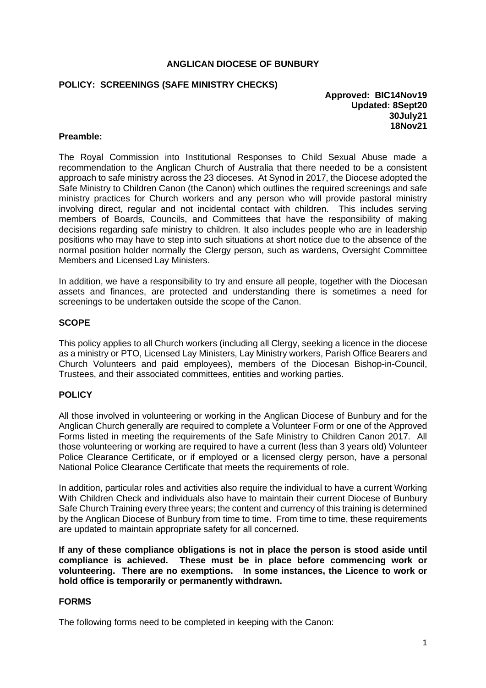#### **ANGLICAN DIOCESE OF BUNBURY**

## **POLICY: SCREENINGS (SAFE MINISTRY CHECKS)**

#### **Approved: BIC14Nov19 Updated: 8Sept20 30July21 18Nov21**

#### **Preamble:**

The Royal Commission into Institutional Responses to Child Sexual Abuse made a recommendation to the Anglican Church of Australia that there needed to be a consistent approach to safe ministry across the 23 dioceses. At Synod in 2017, the Diocese adopted the Safe Ministry to Children Canon (the Canon) which outlines the required screenings and safe ministry practices for Church workers and any person who will provide pastoral ministry involving direct, regular and not incidental contact with children. This includes serving members of Boards, Councils, and Committees that have the responsibility of making decisions regarding safe ministry to children. It also includes people who are in leadership positions who may have to step into such situations at short notice due to the absence of the normal position holder normally the Clergy person, such as wardens, Oversight Committee Members and Licensed Lay Ministers.

In addition, we have a responsibility to try and ensure all people, together with the Diocesan assets and finances, are protected and understanding there is sometimes a need for screenings to be undertaken outside the scope of the Canon.

#### **SCOPE**

This policy applies to all Church workers (including all Clergy, seeking a licence in the diocese as a ministry or PTO, Licensed Lay Ministers, Lay Ministry workers, Parish Office Bearers and Church Volunteers and paid employees), members of the Diocesan Bishop-in-Council, Trustees, and their associated committees, entities and working parties.

## **POLICY**

All those involved in volunteering or working in the Anglican Diocese of Bunbury and for the Anglican Church generally are required to complete a Volunteer Form or one of the Approved Forms listed in meeting the requirements of the Safe Ministry to Children Canon 2017. All those volunteering or working are required to have a current (less than 3 years old) Volunteer Police Clearance Certificate, or if employed or a licensed clergy person, have a personal National Police Clearance Certificate that meets the requirements of role.

In addition, particular roles and activities also require the individual to have a current Working With Children Check and individuals also have to maintain their current Diocese of Bunbury Safe Church Training every three years; the content and currency of this training is determined by the Anglican Diocese of Bunbury from time to time. From time to time, these requirements are updated to maintain appropriate safety for all concerned.

**If any of these compliance obligations is not in place the person is stood aside until compliance is achieved. These must be in place before commencing work or volunteering. There are no exemptions. In some instances, the Licence to work or hold office is temporarily or permanently withdrawn.** 

## **FORMS**

The following forms need to be completed in keeping with the Canon: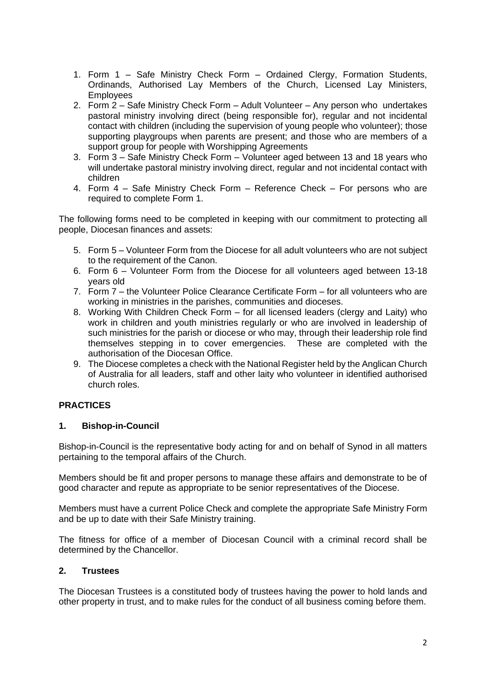- 1. Form 1 Safe Ministry Check Form Ordained Clergy, Formation Students, Ordinands, Authorised Lay Members of the Church, Licensed Lay Ministers, **Employees**
- 2. Form 2 Safe Ministry Check Form Adult Volunteer Any person who undertakes pastoral ministry involving direct (being responsible for), regular and not incidental contact with children (including the supervision of young people who volunteer); those supporting playgroups when parents are present; and those who are members of a support group for people with Worshipping Agreements
- 3. Form 3 Safe Ministry Check Form Volunteer aged between 13 and 18 years who will undertake pastoral ministry involving direct, regular and not incidental contact with children
- 4. Form 4 Safe Ministry Check Form Reference Check For persons who are required to complete Form 1.

The following forms need to be completed in keeping with our commitment to protecting all people, Diocesan finances and assets:

- 5. Form 5 Volunteer Form from the Diocese for all adult volunteers who are not subject to the requirement of the Canon.
- 6. Form 6 Volunteer Form from the Diocese for all volunteers aged between 13-18 years old
- 7. Form 7 the Volunteer Police Clearance Certificate Form for all volunteers who are working in ministries in the parishes, communities and dioceses.
- 8. Working With Children Check Form for all licensed leaders (clergy and Laity) who work in children and youth ministries regularly or who are involved in leadership of such ministries for the parish or diocese or who may, through their leadership role find themselves stepping in to cover emergencies. These are completed with the authorisation of the Diocesan Office.
- 9. The Diocese completes a check with the National Register held by the Anglican Church of Australia for all leaders, staff and other laity who volunteer in identified authorised church roles.

# **PRACTICES**

# **1. Bishop-in-Council**

Bishop-in-Council is the representative body acting for and on behalf of Synod in all matters pertaining to the temporal affairs of the Church.

Members should be fit and proper persons to manage these affairs and demonstrate to be of good character and repute as appropriate to be senior representatives of the Diocese.

Members must have a current Police Check and complete the appropriate Safe Ministry Form and be up to date with their Safe Ministry training.

The fitness for office of a member of Diocesan Council with a criminal record shall be determined by the Chancellor.

## **2. Trustees**

The Diocesan Trustees is a constituted body of trustees having the power to hold lands and other property in trust, and to make rules for the conduct of all business coming before them.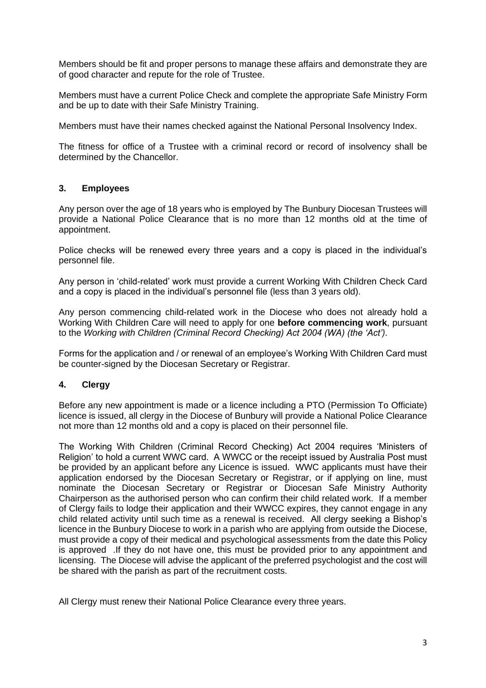Members should be fit and proper persons to manage these affairs and demonstrate they are of good character and repute for the role of Trustee.

Members must have a current Police Check and complete the appropriate Safe Ministry Form and be up to date with their Safe Ministry Training.

Members must have their names checked against the National Personal Insolvency Index.

The fitness for office of a Trustee with a criminal record or record of insolvency shall be determined by the Chancellor.

## **3. Employees**

Any person over the age of 18 years who is employed by The Bunbury Diocesan Trustees will provide a National Police Clearance that is no more than 12 months old at the time of appointment.

Police checks will be renewed every three years and a copy is placed in the individual's personnel file.

Any person in 'child-related' work must provide a current Working With Children Check Card and a copy is placed in the individual's personnel file (less than 3 years old).

Any person commencing child-related work in the Diocese who does not already hold a Working With Children Care will need to apply for one **before commencing work**, pursuant to the *Working with Children (Criminal Record Checking) Act 2004 (WA) (the 'Act').*

Forms for the application and / or renewal of an employee's Working With Children Card must be counter-signed by the Diocesan Secretary or Registrar.

## **4. Clergy**

Before any new appointment is made or a licence including a PTO (Permission To Officiate) licence is issued, all clergy in the Diocese of Bunbury will provide a National Police Clearance not more than 12 months old and a copy is placed on their personnel file.

The Working With Children (Criminal Record Checking) Act 2004 requires 'Ministers of Religion' to hold a current WWC card. A WWCC or the receipt issued by Australia Post must be provided by an applicant before any Licence is issued. WWC applicants must have their application endorsed by the Diocesan Secretary or Registrar, or if applying on line, must nominate the Diocesan Secretary or Registrar or Diocesan Safe Ministry Authority Chairperson as the authorised person who can confirm their child related work. If a member of Clergy fails to lodge their application and their WWCC expires, they cannot engage in any child related activity until such time as a renewal is received. All clergy seeking a Bishop's licence in the Bunbury Diocese to work in a parish who are applying from outside the Diocese, must provide a copy of their medical and psychological assessments from the date this Policy is approved .If they do not have one, this must be provided prior to any appointment and licensing. The Diocese will advise the applicant of the preferred psychologist and the cost will be shared with the parish as part of the recruitment costs.

All Clergy must renew their National Police Clearance every three years.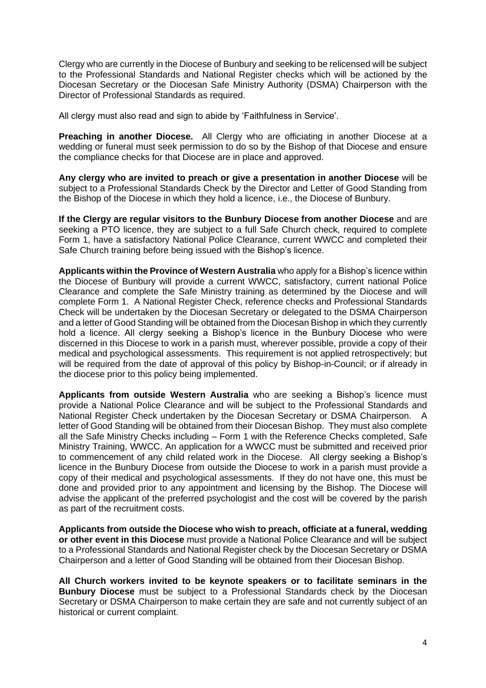Clergy who are currently in the Diocese of Bunbury and seeking to be relicensed will be subject to the Professional Standards and National Register checks which will be actioned by the Diocesan Secretary or the Diocesan Safe Ministry Authority (DSMA) Chairperson with the Director of Professional Standards as required.

All clergy must also read and sign to abide by 'Faithfulness in Service'.

**Preaching in another Diocese.** All Clergy who are officiating in another Diocese at a wedding or funeral must seek permission to do so by the Bishop of that Diocese and ensure the compliance checks for that Diocese are in place and approved.

**Any clergy who are invited to preach or give a presentation in another Diocese** will be subject to a Professional Standards Check by the Director and Letter of Good Standing from the Bishop of the Diocese in which they hold a licence, i.e., the Diocese of Bunbury.

**If the Clergy are regular visitors to the Bunbury Diocese from another Diocese** and are seeking a PTO licence, they are subject to a full Safe Church check, required to complete Form 1, have a satisfactory National Police Clearance, current WWCC and completed their Safe Church training before being issued with the Bishop's licence.

**Applicants within the Province of Western Australia** who apply for a Bishop's licence within the Diocese of Bunbury will provide a current WWCC, satisfactory, current national Police Clearance and complete the Safe Ministry training as determined by the Diocese and will complete Form 1. A National Register Check, reference checks and Professional Standards Check will be undertaken by the Diocesan Secretary or delegated to the DSMA Chairperson and a letter of Good Standing will be obtained from the Diocesan Bishop in which they currently hold a licence. All clergy seeking a Bishop's licence in the Bunbury Diocese who were discerned in this Diocese to work in a parish must, wherever possible, provide a copy of their medical and psychological assessments. This requirement is not applied retrospectively; but will be required from the date of approval of this policy by Bishop-in-Council; or if already in the diocese prior to this policy being implemented.

**Applicants from outside Western Australia** who are seeking a Bishop's licence must provide a National Police Clearance and will be subject to the Professional Standards and National Register Check undertaken by the Diocesan Secretary or DSMA Chairperson. A letter of Good Standing will be obtained from their Diocesan Bishop. They must also complete all the Safe Ministry Checks including – Form 1 with the Reference Checks completed, Safe Ministry Training, WWCC. An application for a WWCC must be submitted and received prior to commencement of any child related work in the Diocese. All clergy seeking a Bishop's licence in the Bunbury Diocese from outside the Diocese to work in a parish must provide a copy of their medical and psychological assessments. If they do not have one, this must be done and provided prior to any appointment and licensing by the Bishop. The Diocese will advise the applicant of the preferred psychologist and the cost will be covered by the parish as part of the recruitment costs.

**Applicants from outside the Diocese who wish to preach, officiate at a funeral, wedding or other event in this Diocese** must provide a National Police Clearance and will be subject to a Professional Standards and National Register check by the Diocesan Secretary or DSMA Chairperson and a letter of Good Standing will be obtained from their Diocesan Bishop.

**All Church workers invited to be keynote speakers or to facilitate seminars in the Bunbury Diocese** must be subject to a Professional Standards check by the Diocesan Secretary or DSMA Chairperson to make certain they are safe and not currently subject of an historical or current complaint.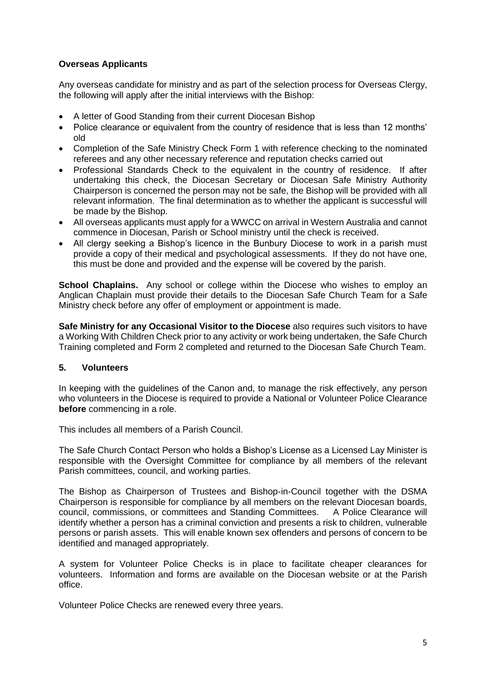## **Overseas Applicants**

Any overseas candidate for ministry and as part of the selection process for Overseas Clergy, the following will apply after the initial interviews with the Bishop:

- A letter of Good Standing from their current Diocesan Bishop
- Police clearance or equivalent from the country of residence that is less than 12 months' old
- Completion of the Safe Ministry Check Form 1 with reference checking to the nominated referees and any other necessary reference and reputation checks carried out
- Professional Standards Check to the equivalent in the country of residence. If after undertaking this check, the Diocesan Secretary or Diocesan Safe Ministry Authority Chairperson is concerned the person may not be safe, the Bishop will be provided with all relevant information. The final determination as to whether the applicant is successful will be made by the Bishop.
- All overseas applicants must apply for a WWCC on arrival in Western Australia and cannot commence in Diocesan, Parish or School ministry until the check is received.
- All clergy seeking a Bishop's licence in the Bunbury Diocese to work in a parish must provide a copy of their medical and psychological assessments. If they do not have one, this must be done and provided and the expense will be covered by the parish.

**School Chaplains.** Any school or college within the Diocese who wishes to employ an Anglican Chaplain must provide their details to the Diocesan Safe Church Team for a Safe Ministry check before any offer of employment or appointment is made.

**Safe Ministry for any Occasional Visitor to the Diocese** also requires such visitors to have a Working With Children Check prior to any activity or work being undertaken, the Safe Church Training completed and Form 2 completed and returned to the Diocesan Safe Church Team.

## **5. Volunteers**

In keeping with the guidelines of the Canon and, to manage the risk effectively, any person who volunteers in the Diocese is required to provide a National or Volunteer Police Clearance **before** commencing in a role.

This includes all members of a Parish Council.

The Safe Church Contact Person who holds a Bishop's License as a Licensed Lay Minister is responsible with the Oversight Committee for compliance by all members of the relevant Parish committees, council, and working parties.

The Bishop as Chairperson of Trustees and Bishop-in-Council together with the DSMA Chairperson is responsible for compliance by all members on the relevant Diocesan boards, council, commissions, or committees and Standing Committees. A Police Clearance will identify whether a person has a criminal conviction and presents a risk to children, vulnerable persons or parish assets. This will enable known sex offenders and persons of concern to be identified and managed appropriately.

A system for Volunteer Police Checks is in place to facilitate cheaper clearances for volunteers. Information and forms are available on the Diocesan website or at the Parish office.

Volunteer Police Checks are renewed every three years.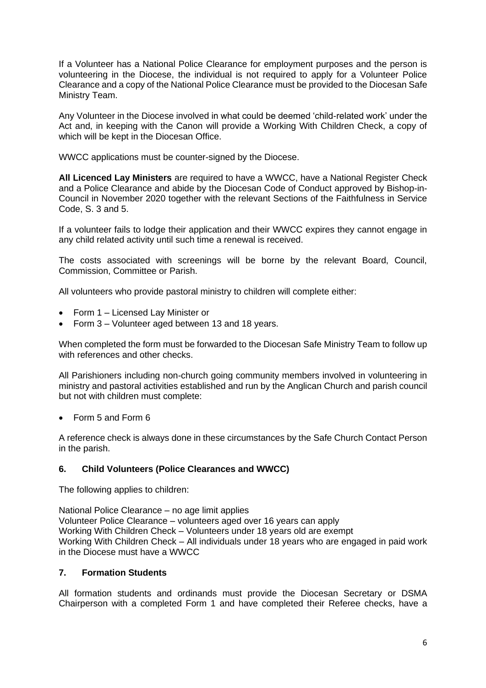If a Volunteer has a National Police Clearance for employment purposes and the person is volunteering in the Diocese, the individual is not required to apply for a Volunteer Police Clearance and a copy of the National Police Clearance must be provided to the Diocesan Safe Ministry Team.

Any Volunteer in the Diocese involved in what could be deemed 'child-related work' under the Act and, in keeping with the Canon will provide a Working With Children Check, a copy of which will be kept in the Diocesan Office.

WWCC applications must be counter-signed by the Diocese.

**All Licenced Lay Ministers** are required to have a WWCC, have a National Register Check and a Police Clearance and abide by the Diocesan Code of Conduct approved by Bishop-in-Council in November 2020 together with the relevant Sections of the Faithfulness in Service Code, S. 3 and 5.

If a volunteer fails to lodge their application and their WWCC expires they cannot engage in any child related activity until such time a renewal is received.

The costs associated with screenings will be borne by the relevant Board, Council, Commission, Committee or Parish.

All volunteers who provide pastoral ministry to children will complete either:

- Form 1 Licensed Lay Minister or
- Form 3 Volunteer aged between 13 and 18 years.

When completed the form must be forwarded to the Diocesan Safe Ministry Team to follow up with references and other checks.

All Parishioners including non-church going community members involved in volunteering in ministry and pastoral activities established and run by the Anglican Church and parish council but not with children must complete:

• Form 5 and Form 6

A reference check is always done in these circumstances by the Safe Church Contact Person in the parish.

## **6. Child Volunteers (Police Clearances and WWCC)**

The following applies to children:

National Police Clearance – no age limit applies Volunteer Police Clearance – volunteers aged over 16 years can apply Working With Children Check – Volunteers under 18 years old are exempt Working With Children Check – All individuals under 18 years who are engaged in paid work in the Diocese must have a WWCC

## **7. Formation Students**

All formation students and ordinands must provide the Diocesan Secretary or DSMA Chairperson with a completed Form 1 and have completed their Referee checks, have a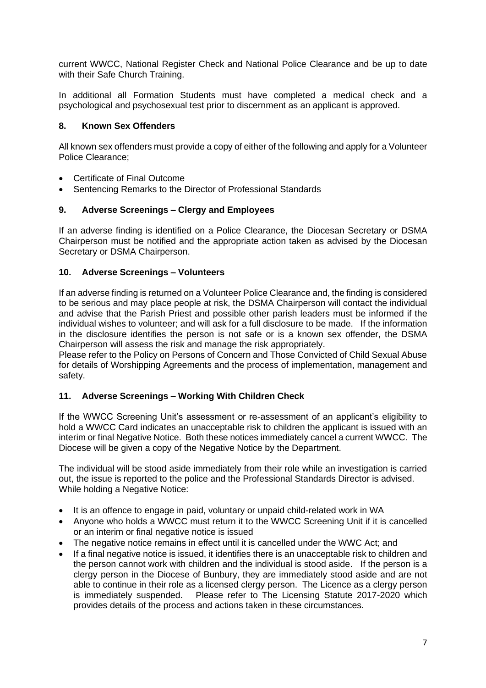current WWCC, National Register Check and National Police Clearance and be up to date with their Safe Church Training.

In additional all Formation Students must have completed a medical check and a psychological and psychosexual test prior to discernment as an applicant is approved.

## **8. Known Sex Offenders**

All known sex offenders must provide a copy of either of the following and apply for a Volunteer Police Clearance;

- Certificate of Final Outcome
- Sentencing Remarks to the Director of Professional Standards

## **9. Adverse Screenings – Clergy and Employees**

If an adverse finding is identified on a Police Clearance, the Diocesan Secretary or DSMA Chairperson must be notified and the appropriate action taken as advised by the Diocesan Secretary or DSMA Chairperson.

## **10. Adverse Screenings – Volunteers**

If an adverse finding is returned on a Volunteer Police Clearance and, the finding is considered to be serious and may place people at risk, the DSMA Chairperson will contact the individual and advise that the Parish Priest and possible other parish leaders must be informed if the individual wishes to volunteer; and will ask for a full disclosure to be made. If the information in the disclosure identifies the person is not safe or is a known sex offender, the DSMA Chairperson will assess the risk and manage the risk appropriately.

Please refer to the Policy on Persons of Concern and Those Convicted of Child Sexual Abuse for details of Worshipping Agreements and the process of implementation, management and safety.

## **11. Adverse Screenings – Working With Children Check**

If the WWCC Screening Unit's assessment or re-assessment of an applicant's eligibility to hold a WWCC Card indicates an unacceptable risk to children the applicant is issued with an interim or final Negative Notice. Both these notices immediately cancel a current WWCC. The Diocese will be given a copy of the Negative Notice by the Department.

The individual will be stood aside immediately from their role while an investigation is carried out, the issue is reported to the police and the Professional Standards Director is advised. While holding a Negative Notice:

- It is an offence to engage in paid, voluntary or unpaid child-related work in WA
- Anyone who holds a WWCC must return it to the WWCC Screening Unit if it is cancelled or an interim or final negative notice is issued
- The negative notice remains in effect until it is cancelled under the WWC Act; and
- If a final negative notice is issued, it identifies there is an unacceptable risk to children and the person cannot work with children and the individual is stood aside. If the person is a clergy person in the Diocese of Bunbury, they are immediately stood aside and are not able to continue in their role as a licensed clergy person. The Licence as a clergy person is immediately suspended. Please refer to The Licensing Statute 2017-2020 which provides details of the process and actions taken in these circumstances.